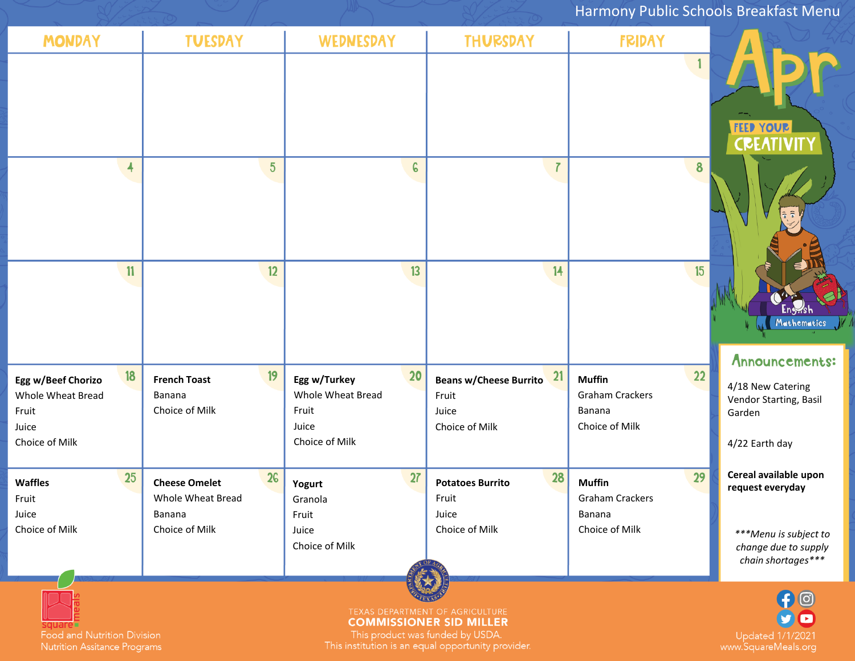## Harmony Public Schools Breakfast Menu

| <b>MONDAY</b>                                                                     | <b>TUESDAY</b>                                                              | <b>WEDNESDAY</b>                                                            | <b>THURSDAY</b>                                                         | <b>FRIDAY</b>                                                             |                                                                                                                  |  |
|-----------------------------------------------------------------------------------|-----------------------------------------------------------------------------|-----------------------------------------------------------------------------|-------------------------------------------------------------------------|---------------------------------------------------------------------------|------------------------------------------------------------------------------------------------------------------|--|
|                                                                                   |                                                                             |                                                                             |                                                                         | 1                                                                         | <b>FEED YOUR</b><br><b>CREATIVIT</b>                                                                             |  |
| $\overline{\mathbf{A}}$                                                           | $5\phantom{.0}$                                                             | $\epsilon$                                                                  | $\overline{I}$                                                          | 8                                                                         |                                                                                                                  |  |
| 11                                                                                | 12                                                                          | 13                                                                          | 14                                                                      | 15                                                                        | <u>Lnywsh</u><br>Mathematics V                                                                                   |  |
| 18<br>Egg w/Beef Chorizo<br>Whole Wheat Bread<br>Fruit<br>Juice<br>Choice of Milk | 19<br><b>French Toast</b><br>Banana<br>Choice of Milk                       | 20<br>Egg w/Turkey<br>Whole Wheat Bread<br>Fruit<br>Juice<br>Choice of Milk | 21<br><b>Beans w/Cheese Burrito</b><br>Fruit<br>Juice<br>Choice of Milk | 22<br><b>Muffin</b><br><b>Graham Crackers</b><br>Banana<br>Choice of Milk | Announcements:<br>4/18 New Catering<br>Vendor Starting, Basil<br>Garden<br>4/22 Earth day                        |  |
| 25<br><b>Waffles</b><br>Fruit<br>Juice<br>Choice of Milk                          | 26<br><b>Cheese Omelet</b><br>Whole Wheat Bread<br>Banana<br>Choice of Milk | 27<br>Yogurt<br>Granola<br>Fruit<br>Juice<br>Choice of Milk                 | 28<br><b>Potatoes Burrito</b><br>Fruit<br>Juice<br>Choice of Milk       | 29<br><b>Muffin</b><br><b>Graham Crackers</b><br>Banana<br>Choice of Milk | Cereal available upon<br>request everyday<br>***Menu is subject to<br>change due to supply<br>chain shortages*** |  |
| TEXAS DEPARTMENT OF AGRICULTURE<br>MANICCIONIED CID MILLED                        |                                                                             |                                                                             |                                                                         |                                                                           |                                                                                                                  |  |

Square<br>Food and Nutrition Division<br>Nutrition Assitance Programs

**COMMISSIONER SID MILLER** 

This product was funded by USDA.<br>This institution is an equal opportunity provider.

Updated 1/1/2021<br>www.SquareMeals.org